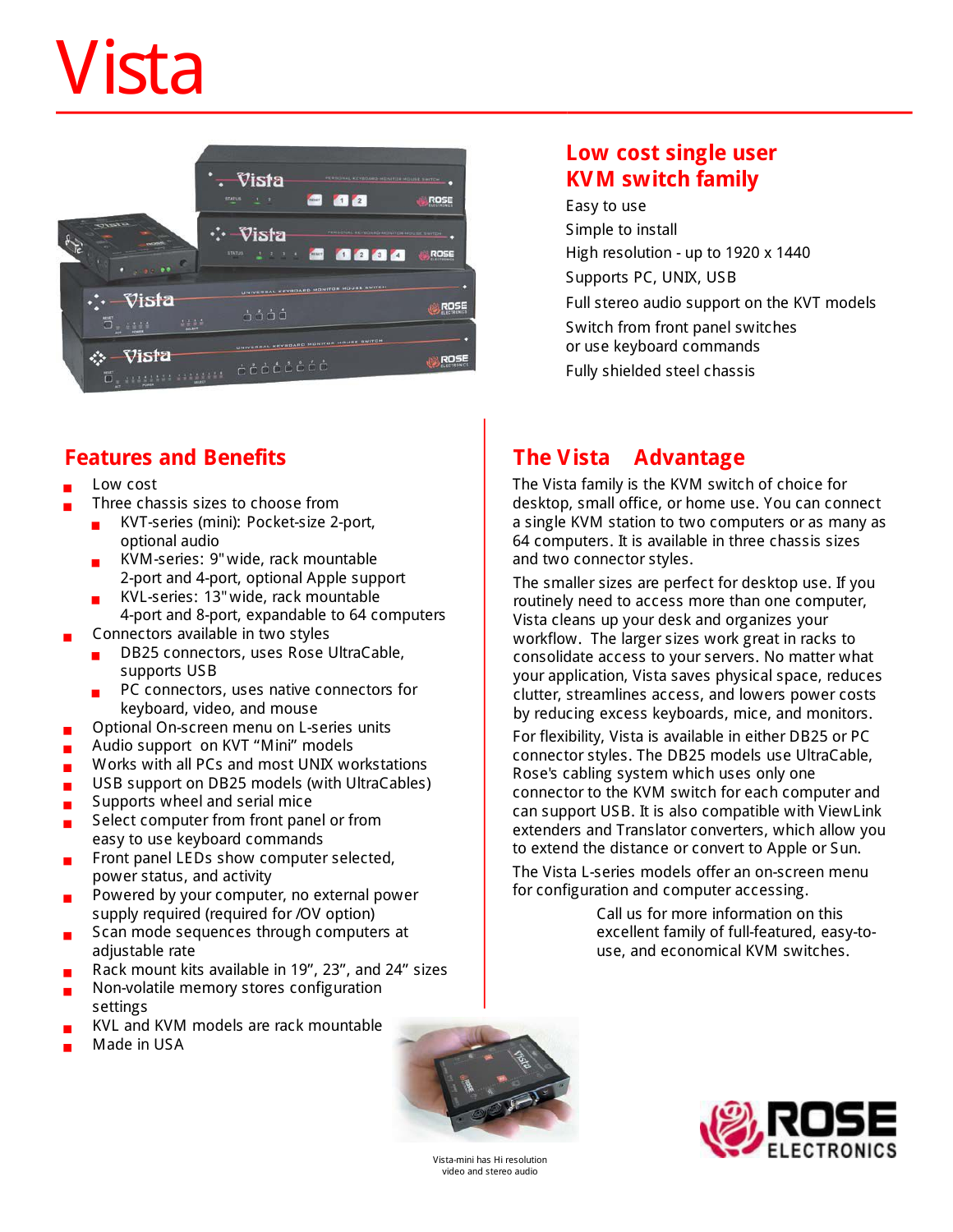# Vista



### **Features and Benefits**

- Low cost
	- Three chassis sizes to choose from
		- ? KVT-series (mini): Pocket-size 2-port, optional audio
		- ? KVM-series: 9"wide, rack mountable 2-port and 4-port, optional Apple support
		- ? KVL-series: 13"wide, rack mountable 4-port and 8-port, expandable to 64 computers
- Connectors available in two styles
	- ? DB25 connectors, uses Rose UltraCable, supports USB
	- PC connectors, uses native connectors for keyboard, video, and mouse
- Optional On-screen menu on L-series units
- **Audio support on KVT "Mini" models**
- **Works with all PCs and most UNIX workstations**
- **USB** support on DB25 models (with UltraCables)
- Supports wheel and serial mice
- Select computer from front panel or from easy to use keyboard commands
- Front panel LEDs show computer selected, power status, and activity
- Powered by your computer, no external power supply required (required for /OV option)
- Scan mode sequences through computers at adjustable rate
- Rack mount kits available in 19", 23", and 24" sizes
- Non-volatile memory stores configuration settings
- KVL and KVM models are rack mountable
- Made in USA

#### **Low cost single user KVM switch family**

Easy to use Simple to install High resolution - up to 1920 x 1440 Supports PC, UNIX, USB Full stereo audio support on the KVT models Switch from front panel switches or use keyboard commands Fully shielded steel chassis

## **The Vista Advantage**

The Vista family is the KVM switch of choice for desktop, small office, or home use. You can connect a single KVM station to two computers or as many as 64 computers. It is available in three chassis sizes and two connector styles.

The smaller sizes are perfect for desktop use. If you routinely need to access more than one computer, Vista cleans up your desk and organizes your workflow. The larger sizes work great in racks to consolidate access to your servers. No matter what your application, Vista saves physical space, reduces clutter, streamlines access, and lowers power costs by reducing excess keyboards, mice, and monitors.

For flexibility, Vista is available in either DB25 or PC connector styles. The DB25 models use UltraCable, Rose's cabling system which uses only one connector to the KVM switch for each computer and can support USB. It is also compatible with ViewLink extenders and Translator converters, which allow you to extend the distance or convert to Apple or Sun.

The Vista L-series models offer an on-screen menu for configuration and computer accessing.

> Call us for more information on this excellent family of full-featured, easy-touse, and economical KVM switches.



Vista-mini has Hi resolution video and stereo audio